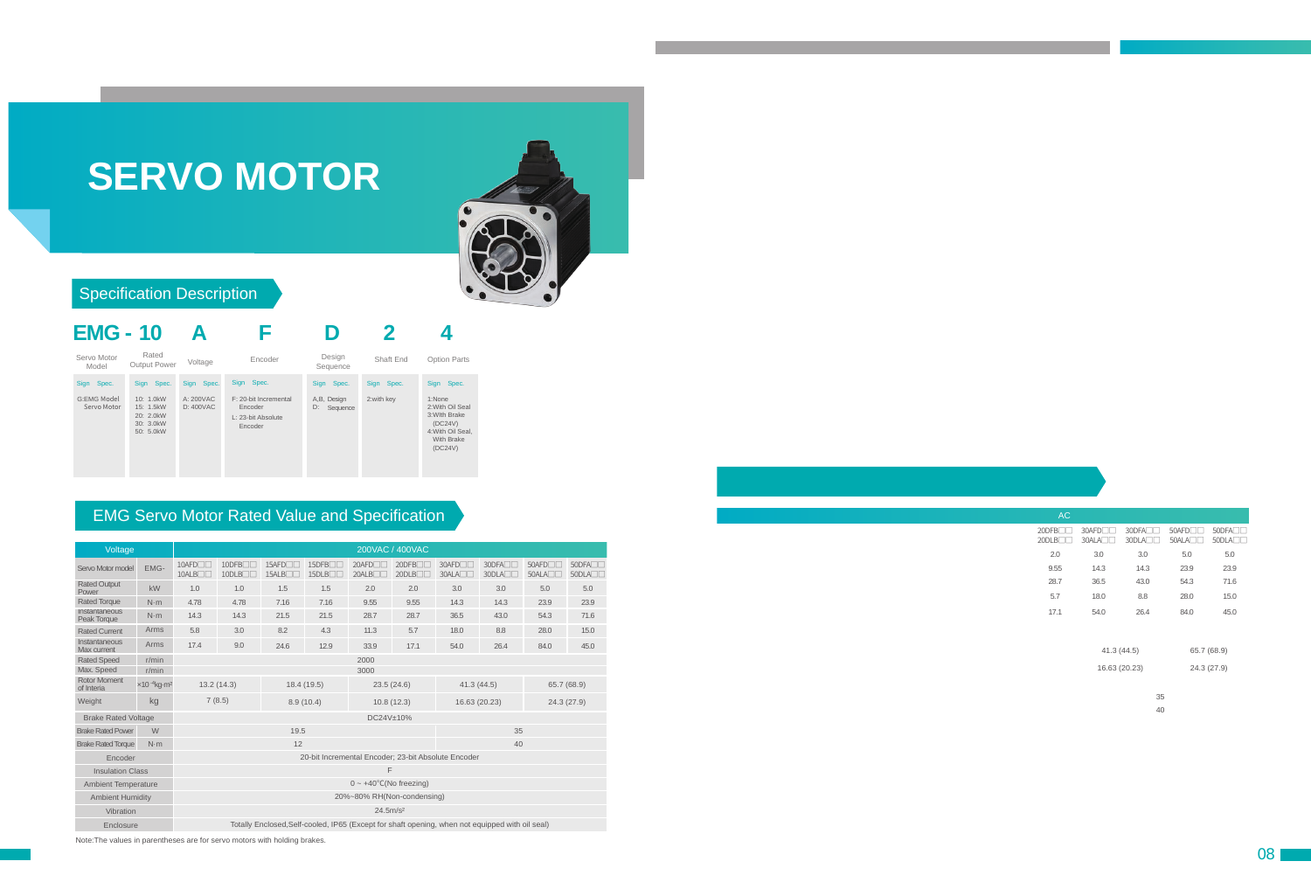# **SERVO MOTOR**



### Specification Description



### EMG Servo Motor Rated Value and Specification

| Voltage                           |                                             | 200VAC / 400VAC                                     |                                    |                                          |                                                                                                 |                                       |                                    |               |                          |                          |                                    |  |  |  |  |
|-----------------------------------|---------------------------------------------|-----------------------------------------------------|------------------------------------|------------------------------------------|-------------------------------------------------------------------------------------------------|---------------------------------------|------------------------------------|---------------|--------------------------|--------------------------|------------------------------------|--|--|--|--|
| Servo Motor model                 | EMG-                                        | $10$ AFD $\neg$<br>10ALB                            | $10$ DFB $\Box$<br>$10$ DLB $\Box$ | 15AFD <sub>U</sub><br>15ALB <sub>D</sub> | 15DFB <sub>I</sub><br>15DLB <sub>II</sub>                                                       | $20$ AFD $\Pi$<br>20ALB <sub>II</sub> | $20$ DFB $\Box$<br>$20$ DLB $\Box$ |               | 30DFA<br>$30DL$ A $\Box$ | $50$ AFD $\neg$<br>50ALA | $50$ DFA $\Box$<br>$50DL$ A $\Box$ |  |  |  |  |
| <b>Rated Output</b><br>Power      | kW                                          | 1.0                                                 | 1.0                                | 1.5                                      | 1.5                                                                                             | 2.0                                   | 2.0                                | 3.0           | 3.0                      | 5.0                      | 5.0                                |  |  |  |  |
| <b>Rated Torque</b>               | $N \cdot m$                                 | 4.78                                                | 4.78                               | 7.16                                     | 7.16                                                                                            | 9.55                                  | 9.55                               | 14.3          | 14.3                     | 23.9                     | 23.9                               |  |  |  |  |
| Instantaneous<br>Peak Torque      | $N \cdot m$                                 | 14.3                                                | 14.3                               | 21.5                                     | 21.5                                                                                            | 28.7                                  | 28.7                               | 36.5<br>43.0  |                          | 54.3                     | 71.6                               |  |  |  |  |
| <b>Rated Current</b>              | Arms                                        | 5.8                                                 | 3.0                                | 8.2                                      | 4.3                                                                                             | 11.3<br>5.7                           |                                    | 18.0<br>8.8   |                          | 28.0                     | 15.0                               |  |  |  |  |
| Instantaneous<br>Max current      | Arms                                        | 17.4                                                | 9.0                                | 24.6                                     | 12.9                                                                                            | 33.9                                  | 17.1                               | 54.0<br>26.4  |                          | 84.0                     | 45.0                               |  |  |  |  |
| <b>Rated Speed</b>                | r/min                                       |                                                     |                                    |                                          |                                                                                                 |                                       |                                    |               |                          |                          |                                    |  |  |  |  |
| Max. Speed                        | r/min                                       | 3000                                                |                                    |                                          |                                                                                                 |                                       |                                    |               |                          |                          |                                    |  |  |  |  |
| <b>Rotor Moment</b><br>of Interia | $\times$ 10 <sup>-4</sup> kg·m <sup>2</sup> | 13.2(14.3)                                          |                                    |                                          | 18.4 (19.5)                                                                                     | 23.5(24.6)                            |                                    | 41.3(44.5)    |                          | 65.7 (68.9)              |                                    |  |  |  |  |
| Weight                            | kg                                          |                                                     | 7(8.5)                             |                                          | 8.9(10.4)                                                                                       | 10.8(12.3)                            |                                    | 16.63 (20.23) |                          | 24.3(27.9)               |                                    |  |  |  |  |
| <b>Brake Rated Voltage</b>        |                                             | DC24V±10%                                           |                                    |                                          |                                                                                                 |                                       |                                    |               |                          |                          |                                    |  |  |  |  |
| W<br><b>Brake Rated Power</b>     |                                             | 19.5<br>35                                          |                                    |                                          |                                                                                                 |                                       |                                    |               |                          |                          |                                    |  |  |  |  |
| <b>Brake Rated Torque</b>         | $N \cdot m$                                 |                                                     |                                    | 12                                       |                                                                                                 | 40                                    |                                    |               |                          |                          |                                    |  |  |  |  |
| Encoder                           |                                             | 20-bit Incremental Encoder; 23-bit Absolute Encoder |                                    |                                          |                                                                                                 |                                       |                                    |               |                          |                          |                                    |  |  |  |  |
| <b>Insulation Class</b>           |                                             | F                                                   |                                    |                                          |                                                                                                 |                                       |                                    |               |                          |                          |                                    |  |  |  |  |
| <b>Ambient Temperature</b>        |                                             | $0 \sim +40^{\circ}$ C(No freezing)                 |                                    |                                          |                                                                                                 |                                       |                                    |               |                          |                          |                                    |  |  |  |  |
| <b>Ambient Humidity</b>           |                                             | 20%~80% RH(Non-condensing)                          |                                    |                                          |                                                                                                 |                                       |                                    |               |                          |                          |                                    |  |  |  |  |
| Vibration                         |                                             | 24.5m/s <sup>2</sup>                                |                                    |                                          |                                                                                                 |                                       |                                    |               |                          |                          |                                    |  |  |  |  |
| Enclosure                         |                                             |                                                     |                                    |                                          | Totally Enclosed, Self-cooled, IP65 (Except for shaft opening, when not equipped with oil seal) |                                       |                                    |               |                          |                          |                                    |  |  |  |  |

Note:The values in parentheses are for servo motors with holding brakes.